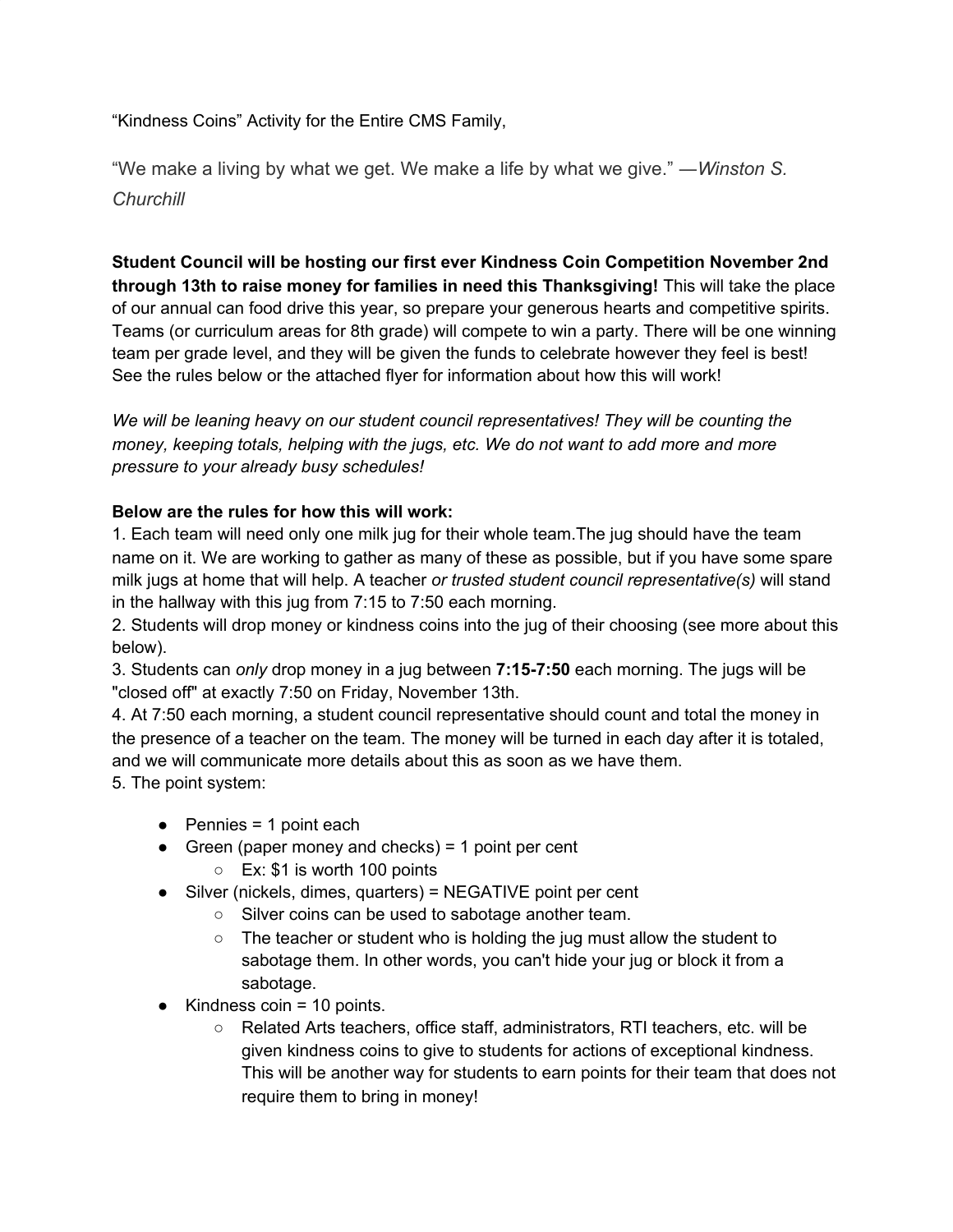"Kindness Coins" Activity for the Entire CMS Family,

"We make a living by what we get. We [make a life](https://www.success.com/article/rohn-how-to-live-a-beautiful-life) by what we give." ―*Winston S. Churchill*

**Student Council will be hosting our first ever Kindness Coin Competition November 2nd through 13th to raise money for families in need this Thanksgiving!** This will take the place of our annual can food drive this year, so prepare your generous hearts and competitive spirits. Teams (or curriculum areas for 8th grade) will compete to win a party. There will be one winning team per grade level, and they will be given the funds to celebrate however they feel is best! See the rules below or the attached flyer for information about how this will work!

*We will be leaning heavy on our student council representatives! They will be counting the money, keeping totals, helping with the jugs, etc. We do not want to add more and more pressure to your already busy schedules!*

## **Below are the rules for how this will work:**

1. Each team will need only one milk jug for their whole team.The jug should have the team name on it. We are working to gather as many of these as possible, but if you have some spare milk jugs at home that will help. A teacher *or trusted student council representative(s)* will stand in the hallway with this jug from 7:15 to 7:50 each morning.

2. Students will drop money or kindness coins into the jug of their choosing (see more about this below).

3. Students can *only* drop money in a jug between **7:15-7:50** each morning. The jugs will be "closed off" at exactly 7:50 on Friday, November 13th.

4. At 7:50 each morning, a student council representative should count and total the money in the presence of a teacher on the team. The money will be turned in each day after it is totaled, and we will communicate more details about this as soon as we have them.

5. The point system:

- $\bullet$  Pennies = 1 point each
- $\bullet$  Green (paper money and checks) = 1 point per cent ○ Ex: \$1 is worth 100 points
- Silver (nickels, dimes, quarters) = NEGATIVE point per cent
	- Silver coins can be used to sabotage another team.
	- $\circ$  The teacher or student who is holding the jug must allow the student to sabotage them. In other words, you can't hide your jug or block it from a sabotage.
- $\bullet$  Kindness coin = 10 points.
	- Related Arts teachers, office staff, administrators, RTI teachers, etc. will be given kindness coins to give to students for actions of exceptional kindness. This will be another way for students to earn points for their team that does not require them to bring in money!